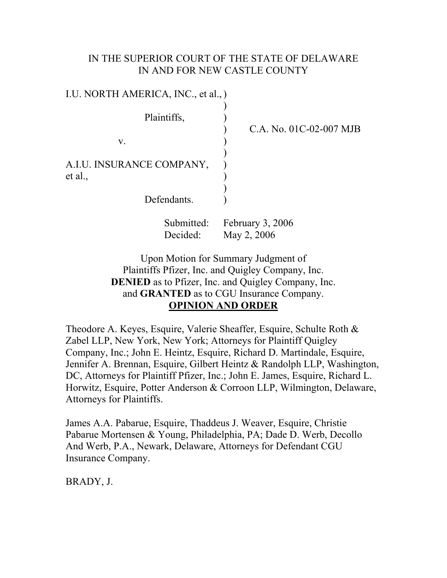## IN THE SUPERIOR COURT OF THE STATE OF DELAWARE IN AND FOR NEW CASTLE COUNTY

| I.U. NORTH AMERICA, INC., et al., ) |                                 |
|-------------------------------------|---------------------------------|
| Plaintiffs,                         | C.A. No. 01C-02-007 MJB         |
| V.                                  |                                 |
| A.I.U. INSURANCE COMPANY,           |                                 |
| et al.,                             |                                 |
| Defendants.                         |                                 |
| Submitted:<br>Decided:              | February 3, 2006<br>May 2, 2006 |

Upon Motion for Summary Judgment of Plaintiffs Pfizer, Inc. and Quigley Company, Inc. **DENIED** as to Pfizer, Inc. and Quigley Company, Inc. and **GRANTED** as to CGU Insurance Company. **OPINION AND ORDER**

Theodore A. Keyes, Esquire, Valerie Sheaffer, Esquire, Schulte Roth & Zabel LLP, New York, New York; Attorneys for Plaintiff Quigley Company, Inc.; John E. Heintz, Esquire, Richard D. Martindale, Esquire, Jennifer A. Brennan, Esquire, Gilbert Heintz & Randolph LLP, Washington, DC, Attorneys for Plaintiff Pfizer, Inc.; John E. James, Esquire, Richard L. Horwitz, Esquire, Potter Anderson & Corroon LLP, Wilmington, Delaware, Attorneys for Plaintiffs.

James A.A. Pabarue, Esquire, Thaddeus J. Weaver, Esquire, Christie Pabarue Mortensen & Young, Philadelphia, PA; Dade D. Werb, Decollo And Werb, P.A., Newark, Delaware, Attorneys for Defendant CGU Insurance Company.

BRADY, J.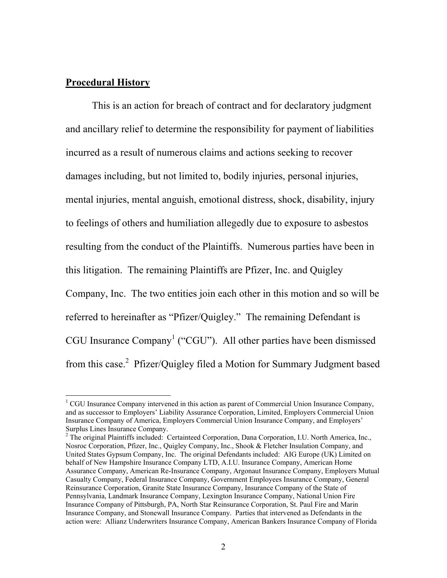## <span id="page-1-1"></span>**Procedural History**

This is an action for breach of contract and for declaratory judgment and ancillary relief to determine the responsibility for payment of liabilities incurred as a result of numerous claims and actions seeking to recover damages including, but not limited to, bodily injuries, personal injuries, mental injuries, mental anguish, emotional distress, shock, disability, injury to feelings of others and humiliation allegedly due to exposure to asbestos resulting from the conduct of the Plaintiffs. Numerous parties have been in this litigation. The remaining Plaintiffs are Pfizer, Inc. and Quigley Company, Inc. The two entities join each other in this motion and so will be referred to hereinafter as "Pfizer/Quigley." The remaining Defendant is CGU Insurance Company<sup>[1](#page-1-0)</sup> ("CGU"). All other parties have been dismissed from this case.<sup>[2](#page-1-1)</sup> Pfizer/Quigley filed a Motion for Summary Judgment based

<span id="page-1-0"></span> $\frac{1}{1}$ <sup>1</sup> CGU Insurance Company intervened in this action as parent of Commercial Union Insurance Company, and as successor to Employers' Liability Assurance Corporation, Limited, Employers Commercial Union Insurance Company of America, Employers Commercial Union Insurance Company, and Employers' Surplus Lines Insurance Company. 2

<sup>&</sup>lt;sup>2</sup> The original Plaintiffs included: Certainteed Corporation, Dana Corporation, I.U. North America, Inc., Nosroc Corporation, Pfizer, Inc., Quigley Company, Inc., Shook & Fletcher Insulation Company, and United States Gypsum Company, Inc. The original Defendants included: AIG Europe (UK) Limited on behalf of New Hampshire Insurance Company LTD, A.I.U. Insurance Company, American Home Assurance Company, American Re-Insurance Company, Argonaut Insurance Company, Employers Mutual Casualty Company, Federal Insurance Company, Government Employees Insurance Company, General Reinsurance Corporation, Granite State Insurance Company, Insurance Company of the State of Pennsylvania, Landmark Insurance Company, Lexington Insurance Company, National Union Fire Insurance Company of Pittsburgh, PA, North Star Reinsurance Corporation, St. Paul Fire and Marin Insurance Company, and Stonewall Insurance Company. Parties that intervened as Defendants in the action were: Allianz Underwriters Insurance Company, American Bankers Insurance Company of Florida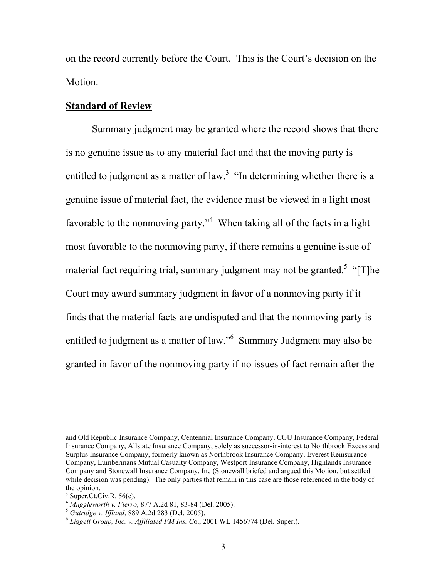on the record currently before the Court. This is the Court's decision on the Motion.

### **Standard of Review**

Summary judgment may be granted where the record shows that there is no genuine issue as to any material fact and that the moving party is entitled to judgment as a matter of law.<sup>[3](#page-2-0)</sup> "In determining whether there is a genuine issue of material fact, the evidence must be viewed in a light most favorable to the nonmoving party."<sup>[4](#page-2-1)</sup> When taking all of the facts in a light most favorable to the nonmoving party, if there remains a genuine issue of material fact requiring trial, summary judgment may not be granted.<sup>[5](#page-2-2)</sup> "[T]he Court may award summary judgment in favor of a nonmoving party if it finds that the material facts are undisputed and that the nonmoving party is entitled to judgment as a matter of law."<sup>[6](#page-2-3)</sup> Summary Judgment may also be granted in favor of the nonmoving party if no issues of fact remain after the

and Old Republic Insurance Company, Centennial Insurance Company, CGU Insurance Company, Federal Insurance Company, Allstate Insurance Company, solely as successor-in-interest to Northbrook Excess and Surplus Insurance Company, formerly known as Northbrook Insurance Company, Everest Reinsurance Company, Lumbermans Mutual Casualty Company, Westport Insurance Company, Highlands Insurance Company and Stonewall Insurance Company, Inc (Stonewall briefed and argued this Motion, but settled while decision was pending). The only parties that remain in this case are those referenced in the body of the opinion.<br> $3 \text{ Super. Ct.Civ.R. } 56(c)$ .

<span id="page-2-0"></span>

<span id="page-2-1"></span>

<span id="page-2-3"></span><span id="page-2-2"></span>

<sup>&</sup>lt;sup>4</sup> Muggleworth v. Fierro, 877 A.2d 81, 83-84 (Del. 2005).<br><sup>5</sup> Gutridge v. Iffland, 889 A.2d 283 (Del. 2005).<br><sup>6</sup> Liggett Group, Inc. v. Affiliated FM Ins. Co., 2001 WL 1456774 (Del. Super.).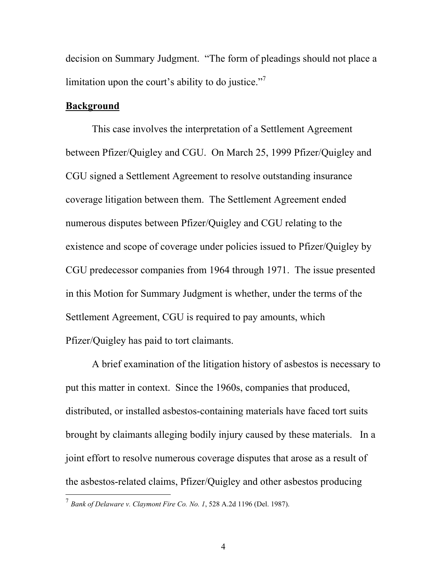decision on Summary Judgment. "The form of pleadings should not place a limitation upon the court's ability to do justice. $17$  $17$ 

### **Background**

This case involves the interpretation of a Settlement Agreement between Pfizer/Quigley and CGU. On March 25, 1999 Pfizer/Quigley and CGU signed a Settlement Agreement to resolve outstanding insurance coverage litigation between them. The Settlement Agreement ended numerous disputes between Pfizer/Quigley and CGU relating to the existence and scope of coverage under policies issued to Pfizer/Quigley by CGU predecessor companies from 1964 through 1971. The issue presented in this Motion for Summary Judgment is whether, under the terms of the Settlement Agreement, CGU is required to pay amounts, which Pfizer/Quigley has paid to tort claimants.

A brief examination of the litigation history of asbestos is necessary to put this matter in context. Since the 1960s, companies that produced, distributed, or installed asbestos-containing materials have faced tort suits brought by claimants alleging bodily injury caused by these materials. In a joint effort to resolve numerous coverage disputes that arose as a result of the asbestos-related claims, Pfizer/Quigley and other asbestos producing

<span id="page-3-0"></span> <sup>7</sup> *Bank of Delaware v. Claymont Fire Co. No. 1*, 528 A.2d 1196 (Del. 1987).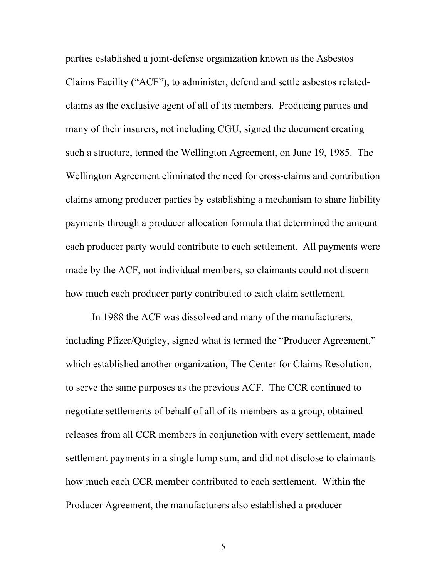parties established a joint-defense organization known as the Asbestos Claims Facility ("ACF"), to administer, defend and settle asbestos relatedclaims as the exclusive agent of all of its members. Producing parties and many of their insurers, not including CGU, signed the document creating such a structure, termed the Wellington Agreement, on June 19, 1985. The Wellington Agreement eliminated the need for cross-claims and contribution claims among producer parties by establishing a mechanism to share liability payments through a producer allocation formula that determined the amount each producer party would contribute to each settlement. All payments were made by the ACF, not individual members, so claimants could not discern how much each producer party contributed to each claim settlement.

In 1988 the ACF was dissolved and many of the manufacturers, including Pfizer/Quigley, signed what is termed the "Producer Agreement," which established another organization, The Center for Claims Resolution, to serve the same purposes as the previous ACF. The CCR continued to negotiate settlements of behalf of all of its members as a group, obtained releases from all CCR members in conjunction with every settlement, made settlement payments in a single lump sum, and did not disclose to claimants how much each CCR member contributed to each settlement. Within the Producer Agreement, the manufacturers also established a producer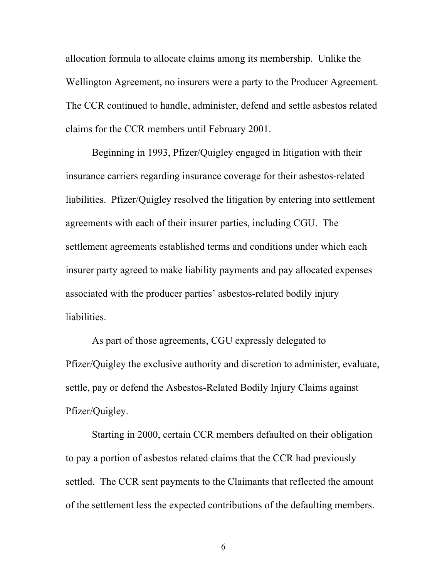allocation formula to allocate claims among its membership. Unlike the Wellington Agreement, no insurers were a party to the Producer Agreement. The CCR continued to handle, administer, defend and settle asbestos related claims for the CCR members until February 2001.

Beginning in 1993, Pfizer/Quigley engaged in litigation with their insurance carriers regarding insurance coverage for their asbestos-related liabilities. Pfizer/Quigley resolved the litigation by entering into settlement agreements with each of their insurer parties, including CGU. The settlement agreements established terms and conditions under which each insurer party agreed to make liability payments and pay allocated expenses associated with the producer parties' asbestos-related bodily injury liabilities.

As part of those agreements, CGU expressly delegated to Pfizer/Quigley the exclusive authority and discretion to administer, evaluate, settle, pay or defend the Asbestos-Related Bodily Injury Claims against Pfizer/Quigley.

Starting in 2000, certain CCR members defaulted on their obligation to pay a portion of asbestos related claims that the CCR had previously settled. The CCR sent payments to the Claimants that reflected the amount of the settlement less the expected contributions of the defaulting members.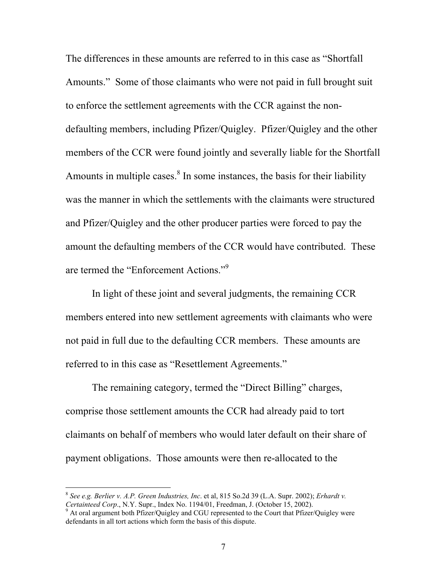The differences in these amounts are referred to in this case as "Shortfall Amounts." Some of those claimants who were not paid in full brought suit to enforce the settlement agreements with the CCR against the nondefaulting members, including Pfizer/Quigley. Pfizer/Quigley and the other members of the CCR were found jointly and severally liable for the Shortfall Amounts in multiple cases. $8 \text{ In some instances, the basis for their liability}$  $8 \text{ In some instances, the basis for their liability}$ was the manner in which the settlements with the claimants were structured and Pfizer/Quigley and the other producer parties were forced to pay the amount the defaulting members of the CCR would have contributed. These are termed the "Enforcement Actions."[9](#page-6-1)

In light of these joint and several judgments, the remaining CCR members entered into new settlement agreements with claimants who were not paid in full due to the defaulting CCR members. These amounts are referred to in this case as "Resettlement Agreements."

The remaining category, termed the "Direct Billing" charges, comprise those settlement amounts the CCR had already paid to tort claimants on behalf of members who would later default on their share of payment obligations. Those amounts were then re-allocated to the

<span id="page-6-0"></span> <sup>8</sup> *See e.g. Berlier v. A.P. Green Industries, Inc*. et al, <sup>815</sup> So.2d 39 (L.A. Supr. 2002); *Erhardt v. Certainteed Corp.*, N.Y. Supr., Index No. 1194/01, Freedman, J. (October 15, 2002).

<span id="page-6-1"></span><sup>&</sup>lt;sup>9</sup> At oral argument both Pfizer/Quigley and CGU represented to the Court that Pfizer/Quigley were defendants in all tort actions which form the basis of this dispute.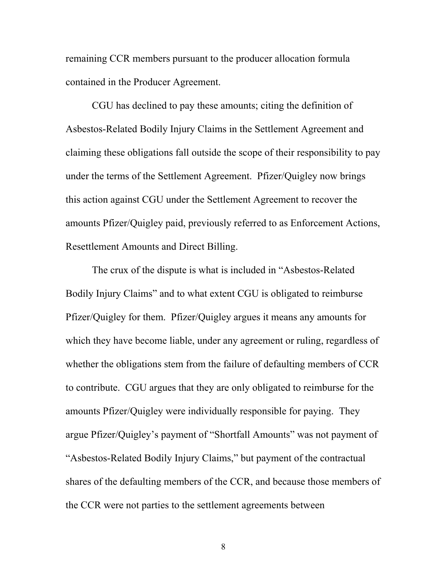remaining CCR members pursuant to the producer allocation formula contained in the Producer Agreement.

CGU has declined to pay these amounts; citing the definition of Asbestos-Related Bodily Injury Claims in the Settlement Agreement and claiming these obligations fall outside the scope of their responsibility to pay under the terms of the Settlement Agreement. Pfizer/Quigley now brings this action against CGU under the Settlement Agreement to recover the amounts Pfizer/Quigley paid, previously referred to as Enforcement Actions, Resettlement Amounts and Direct Billing.

The crux of the dispute is what is included in "Asbestos-Related Bodily Injury Claims" and to what extent CGU is obligated to reimburse Pfizer/Quigley for them. Pfizer/Quigley argues it means any amounts for which they have become liable, under any agreement or ruling, regardless of whether the obligations stem from the failure of defaulting members of CCR to contribute. CGU argues that they are only obligated to reimburse for the amounts Pfizer/Quigley were individually responsible for paying. They argue Pfizer/Quigley's payment of "Shortfall Amounts" was not payment of "Asbestos-Related Bodily Injury Claims," but payment of the contractual shares of the defaulting members of the CCR, and because those members of the CCR were not parties to the settlement agreements between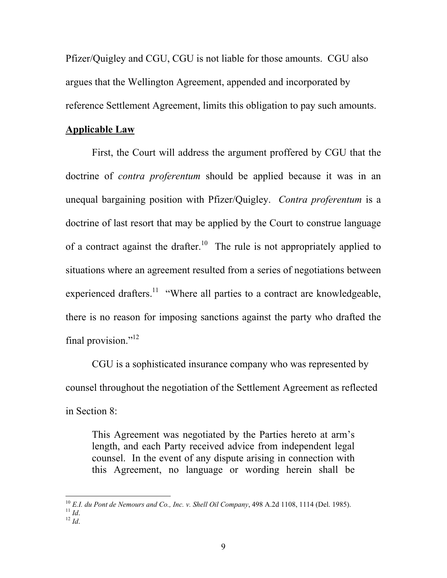Pfizer/Quigley and CGU, CGU is not liable for those amounts. CGU also argues that the Wellington Agreement, appended and incorporated by reference Settlement Agreement, limits this obligation to pay such amounts.

#### **Applicable Law**

First, the Court will address the argument proffered by CGU that the doctrine of *contra proferentum* should be applied because it was in an unequal bargaining position with Pfizer/Quigley. *Contra proferentum* is a doctrine of last resort that may be applied by the Court to construe language of a contract against the drafter.<sup>10</sup> The rule is not appropriately applied to situations where an agreement resulted from a series of negotiations between experienced drafters.<sup>11</sup> "Where all parties to a contract are knowledgeable, there is no reason for imposing sanctions against the party who drafted the final provision." $^{12}$ 

CGU is a sophisticated insurance company who was represented by counsel throughout the negotiation of the Settlement Agreement as reflected in Section 8:

This Agreement was negotiated by the Parties hereto at arm's length, and each Party received advice from independent legal counsel. In the event of any dispute arising in connection with this Agreement, no language or wording herein shall be

<span id="page-8-1"></span><span id="page-8-0"></span><sup>10</sup> *E.I. du Pont de Nemours and Co., Inc. v. Shell Oil Company*, 498 A.2d 1108, 1114 (Del. 1985). <sup>11</sup> *Id*. 12 *Id*.

<span id="page-8-2"></span>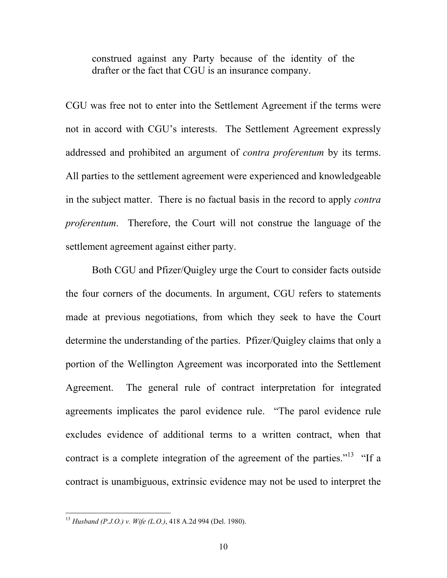construed against any Party because of the identity of the drafter or the fact that CGU is an insurance company.

CGU was free not to enter into the Settlement Agreement if the terms were not in accord with CGU's interests. The Settlement Agreement expressly addressed and prohibited an argument of *contra proferentum* by its terms. All parties to the settlement agreement were experienced and knowledgeable in the subject matter. There is no factual basis in the record to apply *contra proferentum*. Therefore, the Court will not construe the language of the settlement agreement against either party.

Both CGU and Pfizer/Quigley urge the Court to consider facts outside the four corners of the documents. In argument, CGU refers to statements made at previous negotiations, from which they seek to have the Court determine the understanding of the parties. Pfizer/Quigley claims that only a portion of the Wellington Agreement was incorporated into the Settlement Agreement. The general rule of contract interpretation for integrated agreements implicates the parol evidence rule. "The parol evidence rule excludes evidence of additional terms to a written contract, when that contract is a complete integration of the agreement of the parties.<sup> $13$ </sup> "If a contract is unambiguous, extrinsic evidence may not be used to interpret the

<span id="page-9-0"></span> <sup>13</sup> *Husband (P.J.O.) v. Wife (L.O.)*, 418 A.2d 994 (Del. 1980).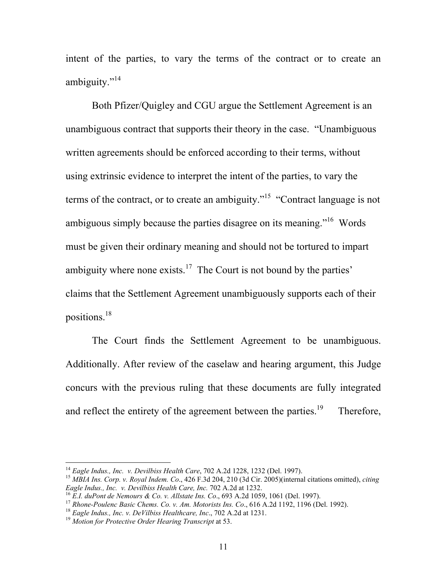intent of the parties, to vary the terms of the contract or to create an ambiguity."<sup>[14](#page-10-0)</sup>

Both Pfizer/Quigley and CGU argue the Settlement Agreement is an unambiguous contract that supports their theory in the case. "Unambiguous written agreements should be enforced according to their terms, without using extrinsic evidence to interpret the intent of the parties, to vary the terms of the contract, or to create an ambiguity."<sup>15</sup> "Contract language is not ambiguous simply because the parties disagree on its meaning."[16](#page-10-2) Words must be given their ordinary meaning and should not be tortured to impart ambiguity where none exists.<sup>17</sup> The Court is not bound by the parties' claims that the Settlement Agreement unambiguously supports each of their positions[.18](#page-10-4) 

The Court finds the Settlement Agreement to be unambiguous. Additionally. After review of the caselaw and hearing argument, this Judge concurs with the previous ruling that these documents are fully integrated and reflect the entirety of the agreement between the parties.<sup>19</sup> Therefore,

<span id="page-10-1"></span><span id="page-10-0"></span>

<sup>&</sup>lt;sup>14</sup> *Eagle Indus., Inc. v. Devilbiss Health Care, 702 A.2d 1228, 1232 (Del. 1997).*<br><sup>15</sup> *MBIA Ins. Corp. v. Royal Indem. Co., 426 F.3d 204, 210 (3d Cir. 2005)(internal citations omitted), <i>citing Eagle Indus., Inc. v. De* 

<span id="page-10-3"></span><span id="page-10-2"></span>

<sup>&</sup>lt;sup>16</sup> E.I. duPont de Nemours & Co. v. Allstate Ins. Co., 693 A.2d 1059, 1061 (Del. 1997).<br><sup>17</sup> Rhone-Poulenc Basic Chems. Co. v. Am. Motorists Ins. Co., 616 A.2d 1192, 1196 (Del. 1992).<br><sup>18</sup> Eagle Indus., Inc. v. DeVilbiss

<span id="page-10-4"></span>

<span id="page-10-5"></span>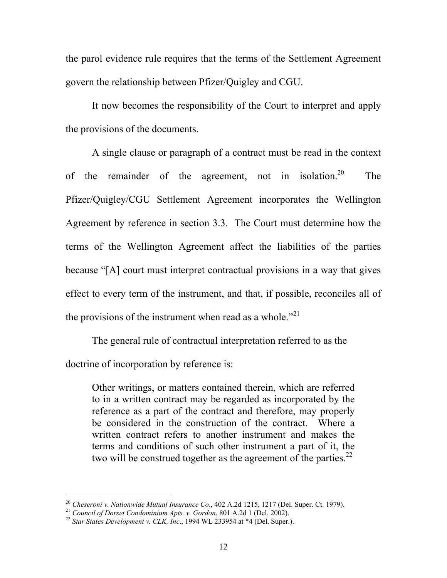the parol evidence rule requires that the terms of the Settlement Agreement govern the relationship between Pfizer/Quigley and CGU.

It now becomes the responsibility of the Court to interpret and apply the provisions of the documents.

A single clause or paragraph of a contract must be read in the context of the remainder of the agreement, not in isolation.<sup>20</sup> The Pfizer/Quigley/CGU Settlement Agreement incorporates the Wellington Agreement by reference in section 3.3. The Court must determine how the terms of the Wellington Agreement affect the liabilities of the parties because "[A] court must interpret contractual provisions in a way that gives effect to every term of the instrument, and that, if possible, reconciles all of the provisions of the instrument when read as a whole."<sup>[21](#page-11-1)</sup>

The general rule of contractual interpretation referred to as the doctrine of incorporation by reference is:

Other writings, or matters contained therein, which are referred to in a written contract may be regarded as incorporated by the reference as a part of the contract and therefore, may properly be considered in the construction of the contract. Where a written contract refers to another instrument and makes the terms and conditions of such other instrument a part of it, the two will be construed together as the agreement of the parties. $22$ 

<span id="page-11-0"></span><sup>&</sup>lt;sup>20</sup> Cheseroni v. Nationwide Mutual Insurance Co., 402 A.2d 1215, 1217 (Del. Super. Ct. 1979).<br><sup>21</sup> Council of Dorset Condominium Apts. v. Gordon, 801 A.2d 1 (Del. 2002).<br><sup>22</sup> Star States Development v. CLK, Inc., 1994 WL

<span id="page-11-1"></span>

<span id="page-11-2"></span>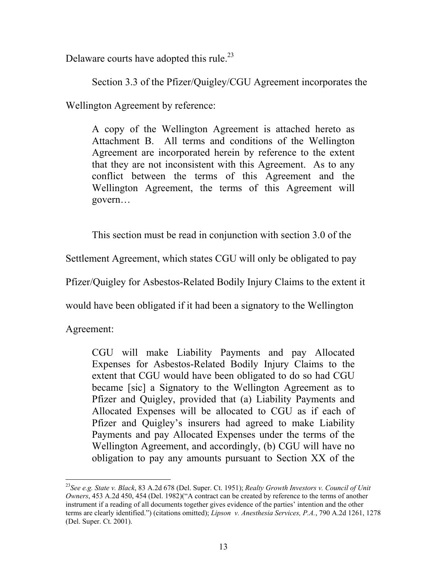Delaware courts have adopted this rule.<sup>23</sup>

Section 3.3 of the Pfizer/Quigley/CGU Agreement incorporates the

Wellington Agreement by reference:

A copy of the Wellington Agreement is attached hereto as Attachment B. All terms and conditions of the Wellington Agreement are incorporated herein by reference to the extent that they are not inconsistent with this Agreement. As to any conflict between the terms of this Agreement and the Wellington Agreement, the terms of this Agreement will govern…

This section must be read in conjunction with section 3.0 of the

Settlement Agreement, which states CGU will only be obligated to pay

Pfizer/Quigley for Asbestos-Related Bodily Injury Claims to the extent it

would have been obligated if it had been a signatory to the Wellington

Agreement:

CGU will make Liability Payments and pay Allocated Expenses for Asbestos-Related Bodily Injury Claims to the extent that CGU would have been obligated to do so had CGU became [sic] a Signatory to the Wellington Agreement as to Pfizer and Quigley, provided that (a) Liability Payments and Allocated Expenses will be allocated to CGU as if each of Pfizer and Quigley's insurers had agreed to make Liability Payments and pay Allocated Expenses under the terms of the Wellington Agreement, and accordingly, (b) CGU will have no obligation to pay any amounts pursuant to Section XX of the

<span id="page-12-0"></span> <sup>23</sup>*See e.g. State v. Black*, 83 A.2d 678 (Del. Super. Ct. 1951); *Realty Growth Investors v. Council of Unit Owners*, 453 A.2d 450, 454 (Del. 1982)("A contract can be created by reference to the terms of another instrument if a reading of all documents together gives evidence of the parties' intention and the other terms are clearly identified.") (citations omitted); *Lipson v. Anesthesia Services, P.A.*, 790 A.2d 1261, 1278 (Del. Super. Ct. 2001).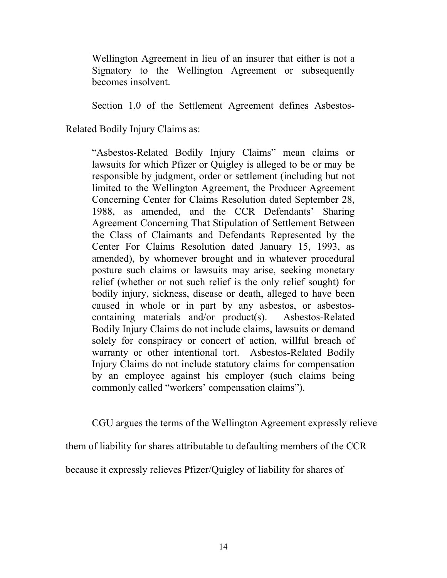Wellington Agreement in lieu of an insurer that either is not a Signatory to the Wellington Agreement or subsequently becomes insolvent.

Section 1.0 of the Settlement Agreement defines Asbestos-

Related Bodily Injury Claims as:

"Asbestos-Related Bodily Injury Claims" mean claims or lawsuits for which Pfizer or Quigley is alleged to be or may be responsible by judgment, order or settlement (including but not limited to the Wellington Agreement, the Producer Agreement Concerning Center for Claims Resolution dated September 28, 1988, as amended, and the CCR Defendants' Sharing Agreement Concerning That Stipulation of Settlement Between the Class of Claimants and Defendants Represented by the Center For Claims Resolution dated January 15, 1993, as amended), by whomever brought and in whatever procedural posture such claims or lawsuits may arise, seeking monetary relief (whether or not such relief is the only relief sought) for bodily injury, sickness, disease or death, alleged to have been caused in whole or in part by any asbestos, or asbestoscontaining materials and/or product(s). Asbestos-Related Bodily Injury Claims do not include claims, lawsuits or demand solely for conspiracy or concert of action, willful breach of warranty or other intentional tort. Asbestos-Related Bodily Injury Claims do not include statutory claims for compensation by an employee against his employer (such claims being commonly called "workers' compensation claims").

CGU argues the terms of the Wellington Agreement expressly relieve

them of liability for shares attributable to defaulting members of the CCR

because it expressly relieves Pfizer/Quigley of liability for shares of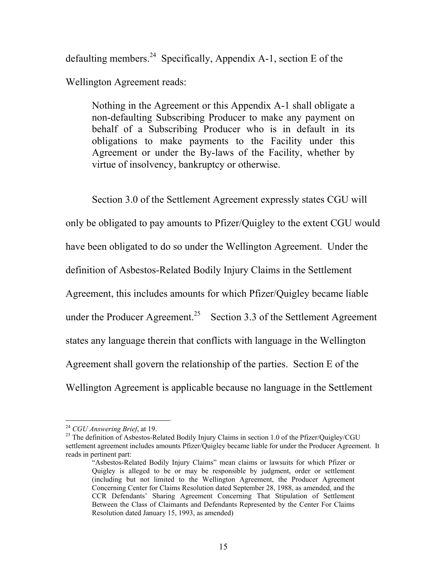defaulting members.<sup>24</sup> Specifically, Appendix A-1, section E of the Wellington Agreement reads:

Nothing in the Agreement or this Appendix A-1 shall obligate a non-defaulting Subscribing Producer to make any payment on behalf of a Subscribing Producer who is in default in its obligations to make payments to the Facility under this Agreement or under the By-laws of the Facility, whether by virtue of insolvency, bankruptcy or otherwise.

Section 3.0 of the Settlement Agreement expressly states CGU will

only be obligated to pay amounts to Pfizer/Quigley to the extent CGU would

have been obligated to do so under the Wellington Agreement. Under the

definition of Asbestos-Related Bodily Injury Claims in the Settlement

Agreement, this includes amounts for which Pfizer/Quigley became liable

under the Producer Agreement.<sup>25</sup> Section 3.3 of the Settlement Agreement

states any language therein that conflicts with language in the Wellington

Agreement shall govern the relationship of the parties. Section E of the

Wellington Agreement is applicable because no language in the Settlement

<span id="page-14-1"></span><span id="page-14-0"></span>

<sup>&</sup>lt;sup>24</sup> *CGU Answering Brief*, at 19.<br><sup>25</sup> The definition of Asbestos-Related Bodily Injury Claims in section 1.0 of the Pfizer/Quigley/CGU settlement agreement includes amounts Pfizer/Quigley became liable for under the Producer Agreement. It reads in pertinent part:

<sup>&</sup>quot;Asbestos-Related Bodily Injury Claims" mean claims or lawsuits for which Pfizer or Quigley is alleged to be or may be responsible by judgment, order or settlement (including but not limited to the Wellington Agreement, the Producer Agreement Concerning Center for Claims Resolution dated September 28, 1988, as amended, and the CCR Defendants' Sharing Agreement Concerning That Stipulation of Settlement Between the Class of Claimants and Defendants Represented by the Center For Claims Resolution dated January 15, 1993, as amended)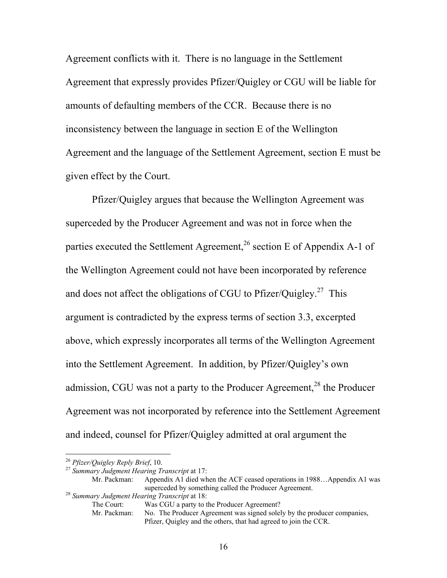Agreement conflicts with it. There is no language in the Settlement Agreement that expressly provides Pfizer/Quigley or CGU will be liable for amounts of defaulting members of the CCR. Because there is no inconsistency between the language in section E of the Wellington Agreement and the language of the Settlement Agreement, section E must be given effect by the Court.

Pfizer/Quigley argues that because the Wellington Agreement was superceded by the Producer Agreement and was not in force when the parties executed the Settlement Agreement,<sup>26</sup> section E of Appendix A-1 of the Wellington Agreement could not have been incorporated by reference and does not affect the obligations of CGU to Pfizer/Quigley.<sup>27</sup> This argument is contradicted by the express terms of section 3.3, excerpted above, which expressly incorporates all terms of the Wellington Agreement into the Settlement Agreement. In addition, by Pfizer/Quigley's own admission, CGU was not a party to the Producer Agreement, $^{28}$  the Producer Agreement was not incorporated by reference into the Settlement Agreement and indeed, counsel for Pfizer/Quigley admitted at oral argument the

Mr. Packman: Appendix A1 died when the ACF ceased operations in 1988...Appendix A1 was superceded by something called the Producer Agreement.<br><sup>28</sup> *Summary Judgment Hearing Transcript* at 18:<br>The Court: Was CGU a party to the Producer Agreement?

<span id="page-15-2"></span>

Mr. Packman: No. The Producer Agreement was signed solely by the producer companies, Pfizer, Quigley and the others, that had agreed to join the CCR.

<span id="page-15-1"></span><span id="page-15-0"></span>

<sup>26</sup> *Pfizer/Quigley Reply Brief*, 10. 27 *Summary Judgment Hearing Transcript* at 17:

Was CGU a party to the Producer Agreement?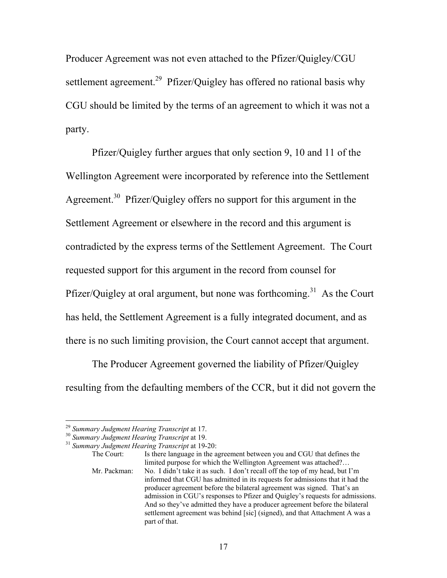Producer Agreement was not even attached to the Pfizer/Quigley/CGU settlement agreement.<sup>29</sup> Pfizer/Quigley has offered no rational basis why CGU should be limited by the terms of an agreement to which it was not a party.

Pfizer/Quigley further argues that only section 9, 10 and 11 of the Wellington Agreement were incorporated by reference into the Settlement Agreement.<sup>30</sup> Pfizer/Quigley offers no support for this argument in the Settlement Agreement or elsewhere in the record and this argument is contradicted by the express terms of the Settlement Agreement. The Court requested support for this argument in the record from counsel for Pfizer/Quigley at oral argument, but none was forthcoming.<sup>31</sup> As the Court has held, the Settlement Agreement is a fully integrated document, and as there is no such limiting provision, the Court cannot accept that argument.

The Producer Agreement governed the liability of Pfizer/Quigley resulting from the defaulting members of the CCR, but it did not govern the

<span id="page-16-1"></span><span id="page-16-0"></span>

<sup>29</sup> *Summary Judgment Hearing Transcript* at 17. 30 *Summary Judgment Hearing Transcript* at 19. 31 *Summary Judgment Hearing Transcript* at 19-20:

<span id="page-16-2"></span>

The Court: Is there language in the agreement between you and CGU that defines the limited purpose for which the Wellington Agreement was attached?… Mr. Packman: No. I didn't take it as such. I don't recall off the top of my head, but I'm informed that CGU has admitted in its requests for admissions that it had the producer agreement before the bilateral agreement was signed. That's an admission in CGU's responses to Pfizer and Quigley's requests for admissions. And so they've admitted they have a producer agreement before the bilateral settlement agreement was behind [sic] (signed), and that Attachment A was a part of that.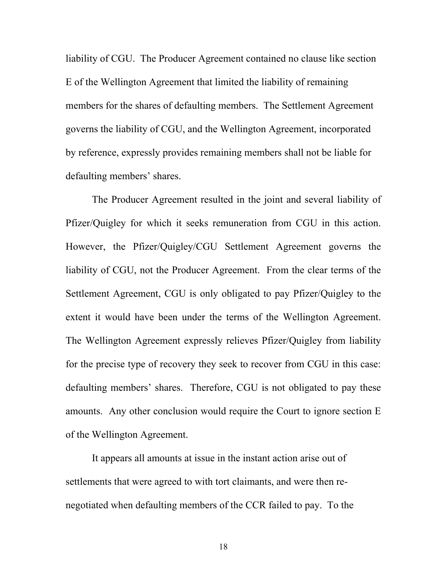liability of CGU. The Producer Agreement contained no clause like section E of the Wellington Agreement that limited the liability of remaining members for the shares of defaulting members. The Settlement Agreement governs the liability of CGU, and the Wellington Agreement, incorporated by reference, expressly provides remaining members shall not be liable for defaulting members' shares.

The Producer Agreement resulted in the joint and several liability of Pfizer/Quigley for which it seeks remuneration from CGU in this action. However, the Pfizer/Quigley/CGU Settlement Agreement governs the liability of CGU, not the Producer Agreement. From the clear terms of the Settlement Agreement, CGU is only obligated to pay Pfizer/Quigley to the extent it would have been under the terms of the Wellington Agreement. The Wellington Agreement expressly relieves Pfizer/Quigley from liability for the precise type of recovery they seek to recover from CGU in this case: defaulting members' shares. Therefore, CGU is not obligated to pay these amounts. Any other conclusion would require the Court to ignore section E of the Wellington Agreement.

It appears all amounts at issue in the instant action arise out of settlements that were agreed to with tort claimants, and were then renegotiated when defaulting members of the CCR failed to pay. To the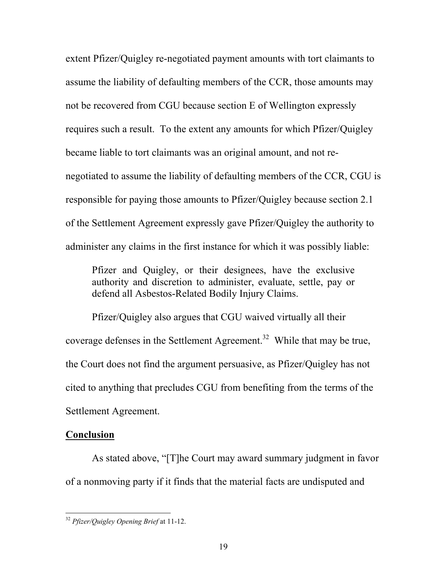extent Pfizer/Quigley re-negotiated payment amounts with tort claimants to assume the liability of defaulting members of the CCR, those amounts may not be recovered from CGU because section E of Wellington expressly requires such a result. To the extent any amounts for which Pfizer/Quigley became liable to tort claimants was an original amount, and not renegotiated to assume the liability of defaulting members of the CCR, CGU is responsible for paying those amounts to Pfizer/Quigley because section 2.1 of the Settlement Agreement expressly gave Pfizer/Quigley the authority to administer any claims in the first instance for which it was possibly liable:

Pfizer and Quigley, or their designees, have the exclusive authority and discretion to administer, evaluate, settle, pay or defend all Asbestos-Related Bodily Injury Claims.

Pfizer/Quigley also argues that CGU waived virtually all their coverage defenses in the Settlement Agreement.<sup>32</sup> While that may be true, the Court does not find the argument persuasive, as Pfizer/Quigley has not cited to anything that precludes CGU from benefiting from the terms of the Settlement Agreement.

#### **Conclusion**

As stated above, "[T]he Court may award summary judgment in favor of a nonmoving party if it finds that the material facts are undisputed and

<span id="page-18-0"></span> <sup>32</sup> *Pfizer/Quigley Opening Brief* at 11-12.